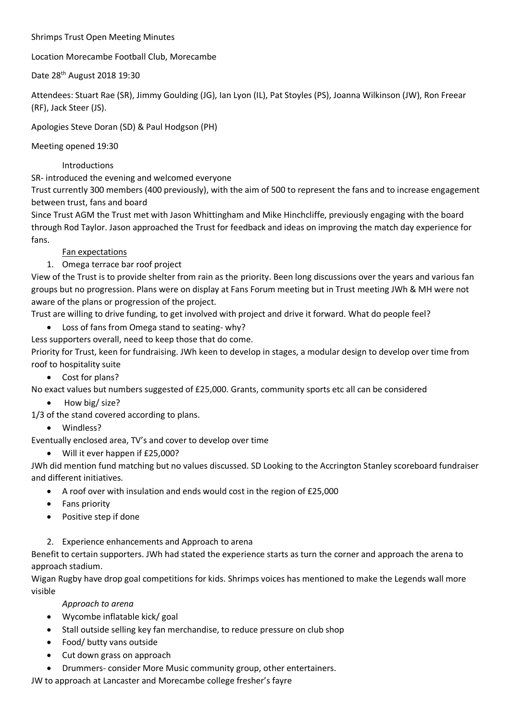#### Shrimps Trust Open Meeting Minutes

Location Morecambe Football Club, Morecambe

Date 28th August 2018 19:30

Attendees: Stuart Rae (SR), Jimmy Goulding (JG), Ian Lyon (IL), Pat Stoyles (PS), Joanna Wilkinson (JW), Ron Freear (RF), Jack Steer (JS).

Apologies Steve Doran (SD) & Paul Hodgson (PH)

Meeting opened 19:30

Introductions

SR- introduced the evening and welcomed everyone

Trust currently 300 members (400 previously), with the aim of 500 to represent the fans and to increase engagement between trust, fans and board

Since Trust AGM the Trust met with Jason Whittingham and Mike Hinchcliffe, previously engaging with the board through Rod Taylor. Jason approached the Trust for feedback and ideas on improving the match day experience for fans.

Fan expectations

1. Omega terrace bar roof project

View of the Trust is to provide shelter from rain as the priority. Been long discussions over the years and various fan groups but no progression. Plans were on display at Fans Forum meeting but in Trust meeting JWh & MH were not aware of the plans or progression of the project.

Trust are willing to drive funding, to get involved with project and drive it forward. What do people feel?

- Loss of fans from Omega stand to seating- why?
- Less supporters overall, need to keep those that do come.

Priority for Trust, keen for fundraising. JWh keen to develop in stages, a modular design to develop over time from roof to hospitality suite

• Cost for plans?

No exact values but numbers suggested of £25,000. Grants, community sports etc all can be considered

- How big/ size?
- 1/3 of the stand covered according to plans.
	- Windless?

Eventually enclosed area, TV's and cover to develop over time

• Will it ever happen if £25,000?

JWh did mention fund matching but no values discussed. SD Looking to the Accrington Stanley scoreboard fundraiser and different initiatives.

- A roof over with insulation and ends would cost in the region of £25,000
- Fans priority
- Positive step if done
- 2. Experience enhancements and Approach to arena

Benefit to certain supporters. JWh had stated the experience starts as turn the corner and approach the arena to approach stadium.

Wigan Rugby have drop goal competitions for kids. Shrimps voices has mentioned to make the Legends wall more visible

*Approach to arena*

- Wycombe inflatable kick/ goal
- Stall outside selling key fan merchandise, to reduce pressure on club shop
- Food/ butty vans outside
- Cut down grass on approach
- Drummers- consider More Music community group, other entertainers.

JW to approach at Lancaster and Morecambe college fresher's fayre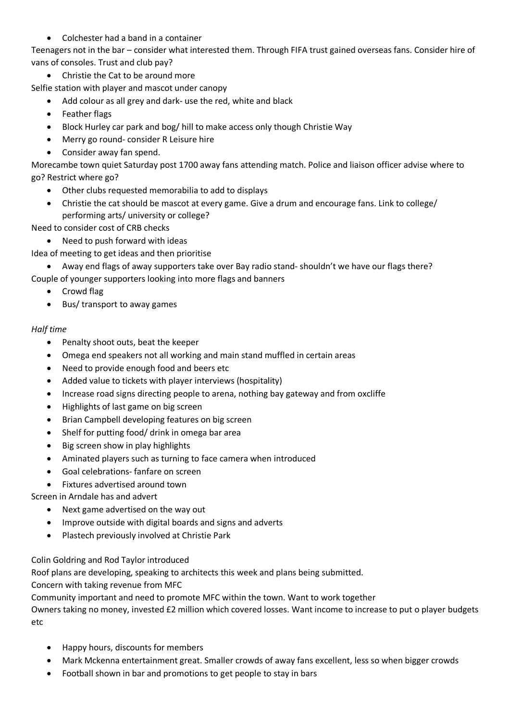• Colchester had a band in a container

Teenagers not in the bar – consider what interested them. Through FIFA trust gained overseas fans. Consider hire of vans of consoles. Trust and club pay?

• Christie the Cat to be around more

Selfie station with player and mascot under canopy

- Add colour as all grey and dark- use the red, white and black
- Feather flags
- Block Hurley car park and bog/ hill to make access only though Christie Way
- Merry go round- consider R Leisure hire
- Consider away fan spend.

Morecambe town quiet Saturday post 1700 away fans attending match. Police and liaison officer advise where to go? Restrict where go?

- Other clubs requested memorabilia to add to displays
- Christie the cat should be mascot at every game. Give a drum and encourage fans. Link to college/ performing arts/ university or college?

Need to consider cost of CRB checks

- Need to push forward with ideas
- Idea of meeting to get ideas and then prioritise

• Away end flags of away supporters take over Bay radio stand- shouldn't we have our flags there? Couple of younger supporters looking into more flags and banners

- Crowd flag
- Bus/ transport to away games

#### *Half time*

- Penalty shoot outs, beat the keeper
- Omega end speakers not all working and main stand muffled in certain areas
- Need to provide enough food and beers etc
- Added value to tickets with player interviews (hospitality)
- Increase road signs directing people to arena, nothing bay gateway and from oxcliffe
- Highlights of last game on big screen
- Brian Campbell developing features on big screen
- Shelf for putting food/ drink in omega bar area
- Big screen show in play highlights
- Aminated players such as turning to face camera when introduced
- Goal celebrations- fanfare on screen
- Fixtures advertised around town

### Screen in Arndale has and advert

- Next game advertised on the way out
- Improve outside with digital boards and signs and adverts
- Plastech previously involved at Christie Park

Colin Goldring and Rod Taylor introduced

Roof plans are developing, speaking to architects this week and plans being submitted.

Concern with taking revenue from MFC

Community important and need to promote MFC within the town. Want to work together

Owners taking no money, invested £2 million which covered losses. Want income to increase to put o player budgets etc

- Happy hours, discounts for members
- Mark Mckenna entertainment great. Smaller crowds of away fans excellent, less so when bigger crowds
- Football shown in bar and promotions to get people to stay in bars